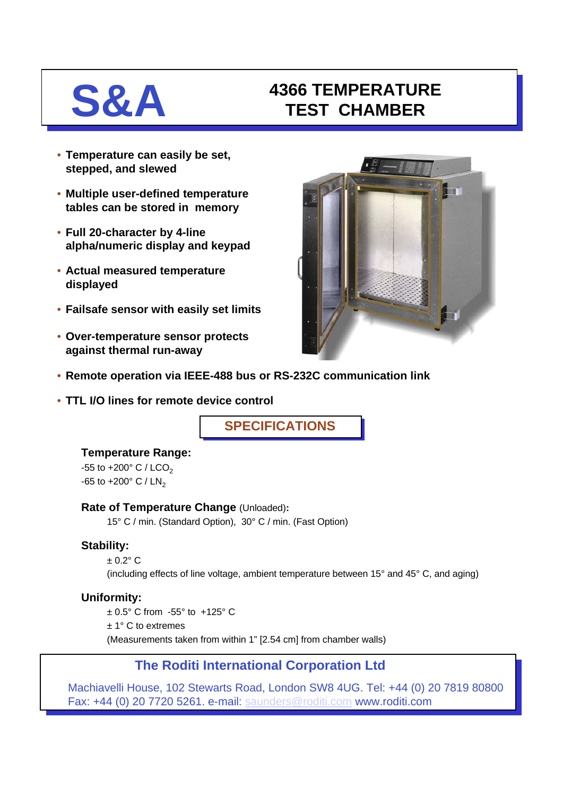# **S&A 4366 TEMPERATURE TEST CHAMBER**

- **Temperature can easily be set, stepped, and slewed**
- **Multiple user-defined temperature tables can be stored in memory**
- **Full 20-character by 4-line alpha/numeric display and keypad**
- **Actual measured temperature displayed**
- **Failsafe sensor with easily set limits**
- **Over-temperature sensor protects against thermal run-away**



- **Remote operation via IEEE-488 bus or RS-232C communication link**
- **TTL I/O lines for remote device control**

**SPECIFICATIONS**

### **Temperature Range:**

 $-55$  to  $+200^{\circ}$  C / LCO<sub>2</sub>  $-65$  to  $+200^{\circ}$  C / LN<sub>2</sub>

### **Rate of Temperature Change** (Unloaded)**:**

15° C / min. (Standard Option), 30° C / min. (Fast Option)

### **Stability:**

 $+0.2$ °C

(including effects of line voltage, ambient temperature between 15° and 45° C, and aging)

### **Uniformity:**

± 0.5° C from -55° to +125° C

± 1° C to extremes

(Measurements taken from within 1" [2.54 cm] from chamber walls)

### **The Roditi International Corporation Ltd**

Machiavelli House, 102 Stewarts Road, London SW8 4UG. Tel: +44 (0) 20 7819 80800 Fax: +44 (0) 20 7720 5261. e-mail: [saunders@roditi.com](mailto:saunders@roditi.com) www.roditi.com